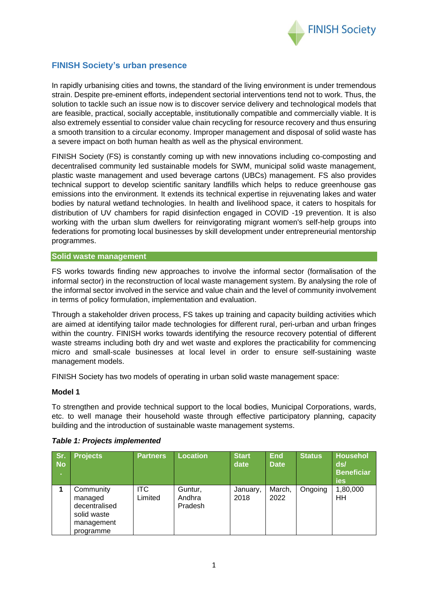

# **FINISH Society's urban presence**

In rapidly urbanising cities and towns, the standard of the living environment is under tremendous strain. Despite pre-eminent efforts, independent sectorial interventions tend not to work. Thus, the solution to tackle such an issue now is to discover service delivery and technological models that are feasible, practical, socially acceptable, institutionally compatible and commercially viable. It is also extremely essential to consider value chain recycling for resource recovery and thus ensuring a smooth transition to a circular economy. Improper management and disposal of solid waste has a severe impact on both human health as well as the physical environment.

FINISH Society (FS) is constantly coming up with new innovations including co-composting and decentralised community led sustainable models for SWM, municipal solid waste management, plastic waste management and used beverage cartons (UBCs) management. FS also provides technical support to develop scientific sanitary landfills which helps to reduce greenhouse gas emissions into the environment. It extends its technical expertise in rejuvenating lakes and water bodies by natural wetland technologies. In health and livelihood space, it caters to hospitals for distribution of UV chambers for rapid disinfection engaged in COVID -19 prevention. It is also working with the urban slum dwellers for reinvigorating migrant women's self-help groups into federations for promoting local businesses by skill development under entrepreneurial mentorship programmes.

#### **Solid waste management**

FS works towards finding new approaches to involve the informal sector (formalisation of the informal sector) in the reconstruction of local waste management system. By analysing the role of the informal sector involved in the service and value chain and the level of community involvement in terms of policy formulation, implementation and evaluation.

Through a stakeholder driven process, FS takes up training and capacity building activities which are aimed at identifying tailor made technologies for different rural, peri-urban and urban fringes within the country. FINISH works towards identifying the resource recovery potential of different waste streams including both dry and wet waste and explores the practicability for commencing micro and small-scale businesses at local level in order to ensure self-sustaining waste management models.

FINISH Society has two models of operating in urban solid waste management space:

#### **Model 1**

To strengthen and provide technical support to the local bodies, Municipal Corporations, wards, etc. to well manage their household waste through effective participatory planning, capacity building and the introduction of sustainable waste management systems.

| Sr.<br><b>No</b><br>×. | <b>Projects</b>                                                                 | <b>Partners</b>       | <b>Location</b>              | <b>Start</b><br>date | <b>End</b><br><b>Date</b> | <b>Status</b> | Househol<br>ds/<br><b>Beneficiar</b><br>ies |
|------------------------|---------------------------------------------------------------------------------|-----------------------|------------------------------|----------------------|---------------------------|---------------|---------------------------------------------|
|                        | Community<br>managed<br>decentralised<br>solid waste<br>management<br>programme | <b>ITC</b><br>Limited | Guntur,<br>Andhra<br>Pradesh | January,<br>2018     | March,<br>2022            | Ongoing       | 1,80,000<br>HH                              |

#### *Table 1: Projects implemented*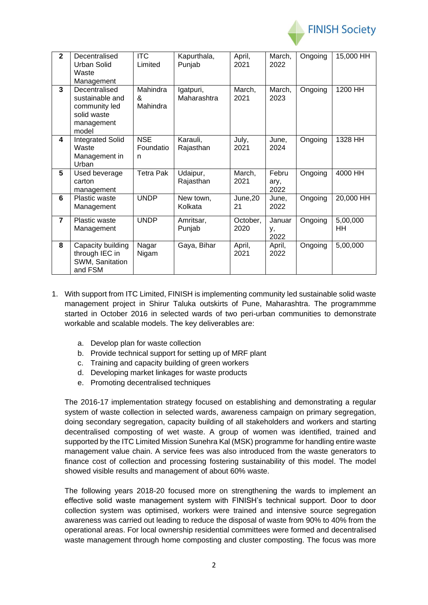

| $\overline{2}$ | Decentralised<br><b>Urban Solid</b><br>Waste<br>Management                              | <b>ITC</b><br>Limited         | Kapurthala,<br>Punjab    | April,<br>2021   | March,<br>2022        | Ongoing | 15,000 HH      |
|----------------|-----------------------------------------------------------------------------------------|-------------------------------|--------------------------|------------------|-----------------------|---------|----------------|
| 3              | Decentralised<br>sustainable and<br>community led<br>solid waste<br>management<br>model | Mahindra<br>&<br>Mahindra     | Igatpuri,<br>Maharashtra | March,<br>2021   | March,<br>2023        | Ongoing | 1200 HH        |
| 4              | <b>Integrated Solid</b><br>Waste<br>Management in<br>Urban                              | <b>NSE</b><br>Foundatio<br>n. | Karauli,<br>Rajasthan    | July,<br>2021    | June,<br>2024         | Ongoing | 1328 HH        |
| 5              | Used beverage<br>carton<br>management                                                   | <b>Tetra Pak</b>              | Udaipur,<br>Rajasthan    | March,<br>2021   | Febru<br>ary,<br>2022 | Ongoing | 4000 HH        |
| 6              | <b>Plastic waste</b><br>Management                                                      | <b>UNDP</b>                   | New town,<br>Kolkata     | June,20<br>21    | June,<br>2022         | Ongoing | 20,000 HH      |
| $\overline{7}$ | Plastic waste<br>Management                                                             | <b>UNDP</b>                   | Amritsar,<br>Punjab      | October,<br>2020 | Januar<br>у,<br>2022  | Ongoing | 5,00,000<br>HH |
| 8              | Capacity building<br>through IEC in<br>SWM, Sanitation<br>and FSM                       | Nagar<br>Nigam                | Gaya, Bihar              | April,<br>2021   | April,<br>2022        | Ongoing | 5,00,000       |

- 1. With support from ITC Limited, FINISH is implementing community led sustainable solid waste management project in Shirur Taluka outskirts of Pune, Maharashtra. The programmme started in October 2016 in selected wards of two peri-urban communities to demonstrate workable and scalable models. The key deliverables are:
	- a. Develop plan for waste collection
	- b. Provide technical support for setting up of MRF plant
	- c. Training and capacity building of green workers
	- d. Developing market linkages for waste products
	- e. Promoting decentralised techniques

The 2016-17 implementation strategy focused on establishing and demonstrating a regular system of waste collection in selected wards, awareness campaign on primary segregation, doing secondary segregation, capacity building of all stakeholders and workers and starting decentralised composting of wet waste. A group of women was identified, trained and supported by the ITC Limited Mission Sunehra Kal (MSK) programme for handling entire waste management value chain. A service fees was also introduced from the waste generators to finance cost of collection and processing fostering sustainability of this model. The model showed visible results and management of about 60% waste.

The following years 2018-20 focused more on strengthening the wards to implement an effective solid waste management system with FINISH's technical support. Door to door collection system was optimised, workers were trained and intensive source segregation awareness was carried out leading to reduce the disposal of waste from 90% to 40% from the operational areas. For local ownership residential committees were formed and decentralised waste management through home composting and cluster composting. The focus was more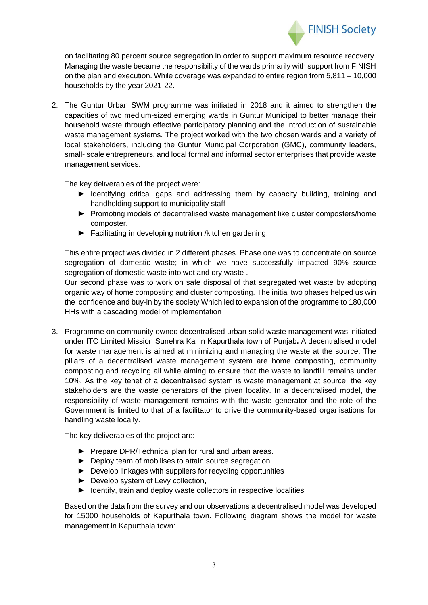

on facilitating 80 percent source segregation in order to support maximum resource recovery. Managing the waste became the responsibility of the wards primarily with support from FINISH on the plan and execution. While coverage was expanded to entire region from 5,811 – 10,000 households by the year 2021-22.

2. The Guntur Urban SWM programme was initiated in 2018 and it aimed to strengthen the capacities of two medium-sized emerging wards in Guntur Municipal to better manage their household waste through effective participatory planning and the introduction of sustainable waste management systems. The project worked with the two chosen wards and a variety of local stakeholders, including the Guntur Municipal Corporation (GMC), community leaders, small- scale entrepreneurs, and local formal and informal sector enterprises that provide waste management services.

The key deliverables of the project were:

- ► Identifying critical gaps and addressing them by capacity building, training and handholding support to municipality staff
- ► Promoting models of decentralised waste management like cluster composters/home composter.
- ► Facilitating in developing nutrition /kitchen gardening.

This entire project was divided in 2 different phases. Phase one was to concentrate on source segregation of domestic waste; in which we have successfully impacted 90% source segregation of domestic waste into wet and dry waste .

Our second phase was to work on safe disposal of that segregated wet waste by adopting organic way of home composting and cluster composting. The initial two phases helped us win the confidence and buy-in by the society Which led to expansion of the programme to 180,000 HHs with a cascading model of implementation

3. Programme on community owned decentralised urban solid waste management was initiated under ITC Limited Mission Sunehra Kal in Kapurthala town of Punjab**.** A decentralised model for waste management is aimed at minimizing and managing the waste at the source. The pillars of a decentralised waste management system are home composting, community composting and recycling all while aiming to ensure that the waste to landfill remains under 10%. As the key tenet of a decentralised system is waste management at source, the key stakeholders are the waste generators of the given locality. In a decentralised model, the responsibility of waste management remains with the waste generator and the role of the Government is limited to that of a facilitator to drive the community-based organisations for handling waste locally.

The key deliverables of the project are:

- ► Prepare DPR/Technical plan for rural and urban areas.
- ► Deploy team of mobilises to attain source segregation
- ► Develop linkages with suppliers for recycling opportunities
- ► Develop system of Levy collection,
- ► Identify, train and deploy waste collectors in respective localities

Based on the data from the survey and our observations a decentralised model was developed for 15000 households of Kapurthala town. Following diagram shows the model for waste management in Kapurthala town: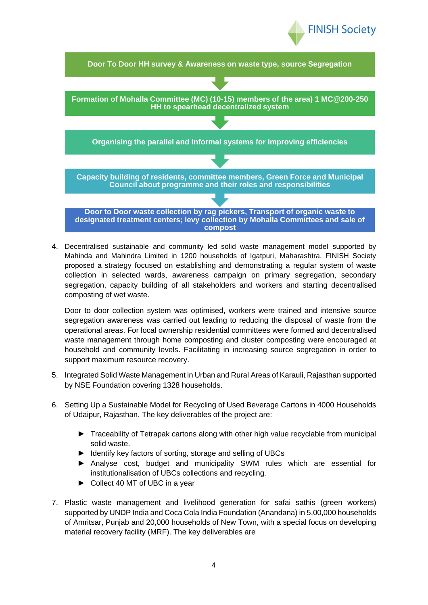



4. Decentralised sustainable and community led solid waste management model supported by Mahinda and Mahindra Limited in 1200 households of Igatpuri, Maharashtra. FINISH Society proposed a strategy focused on establishing and demonstrating a regular system of waste collection in selected wards, awareness campaign on primary segregation, secondary segregation, capacity building of all stakeholders and workers and starting decentralised composting of wet waste.

Door to door collection system was optimised, workers were trained and intensive source segregation awareness was carried out leading to reducing the disposal of waste from the operational areas. For local ownership residential committees were formed and decentralised waste management through home composting and cluster composting were encouraged at household and community levels. Facilitating in increasing source segregation in order to support maximum resource recovery.

- 5. Integrated Solid Waste Management in Urban and Rural Areas of Karauli, Rajasthan supported by NSE Foundation covering 1328 households.
- 6. Setting Up a Sustainable Model for Recycling of Used Beverage Cartons in 4000 Households of Udaipur, Rajasthan. The key deliverables of the project are:
	- ► Traceability of Tetrapak cartons along with other high value recyclable from municipal solid waste.
	- ► Identify key factors of sorting, storage and selling of UBCs
	- ► Analyse cost, budget and municipality SWM rules which are essential for institutionalisation of UBCs collections and recycling.
	- ► Collect 40 MT of UBC in a year
- 7. Plastic waste management and livelihood generation for safai sathis (green workers) supported by UNDP India and Coca Cola India Foundation (Anandana) in 5,00,000 households of Amritsar, Punjab and 20,000 households of New Town, with a special focus on developing material recovery facility (MRF). The key deliverables are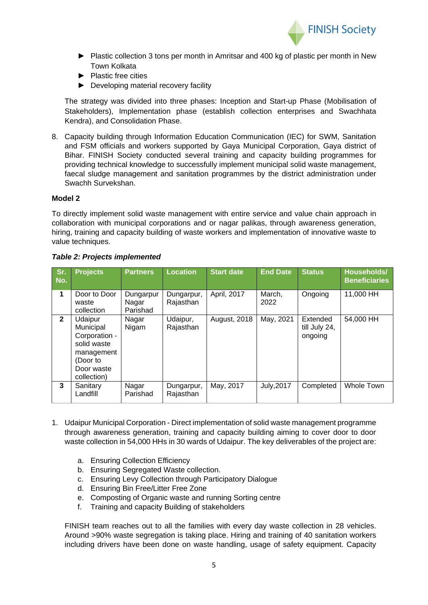

- ► Plastic collection 3 tons per month in Amritsar and 400 kg of plastic per month in New Town Kolkata
- ► Plastic free cities
- ► Developing material recovery facility

The strategy was divided into three phases: Inception and Start-up Phase (Mobilisation of Stakeholders), Implementation phase (establish collection enterprises and Swachhata Kendra), and Consolidation Phase.

8. Capacity building through Information Education Communication (IEC) for SWM, Sanitation and FSM officials and workers supported by Gaya Municipal Corporation, Gaya district of Bihar. FINISH Society conducted several training and capacity building programmes for providing technical knowledge to successfully implement municipal solid waste management, faecal sludge management and sanitation programmes by the district administration under Swachh Survekshan.

#### **Model 2**

To directly implement solid waste management with entire service and value chain approach in collaboration with municipal corporations and or nagar palikas, through awareness generation, hiring, training and capacity building of waste workers and implementation of innovative waste to value techniques.

| Sr.<br>No.   | <b>Projects</b>                                                                                             | <b>Partners</b>                | <b>Location</b>         | <b>Start date</b>   | <b>End Date</b>   | <b>Status</b>                        | Households/<br><b>Beneficiaries</b> |
|--------------|-------------------------------------------------------------------------------------------------------------|--------------------------------|-------------------------|---------------------|-------------------|--------------------------------------|-------------------------------------|
| 1            | Door to Door<br>waste<br>collection                                                                         | Dungarpur<br>Nagar<br>Parishad | Dungarpur,<br>Rajasthan | April, 2017         | March,<br>2022    | Ongoing                              | 11,000 HH                           |
| $\mathbf{2}$ | Udaipur<br>Municipal<br>Corporation -<br>solid waste<br>management<br>(Door to<br>Door waste<br>collection) | Nagar<br>Nigam                 | Udaipur,<br>Rajasthan   | <b>August, 2018</b> | May, 2021         | Extended<br>till July 24,<br>ongoing | 54,000 HH                           |
| 3            | Sanitary<br>Landfill                                                                                        | Nagar<br>Parishad              | Dungarpur,<br>Rajasthan | May, 2017           | <b>July, 2017</b> | Completed                            | Whole Town                          |

#### *Table 2: Projects implemented*

- 1. Udaipur Municipal Corporation Direct implementation of solid waste management programme through awareness generation, training and capacity building aiming to cover door to door waste collection in 54,000 HHs in 30 wards of Udaipur. The key deliverables of the project are:
	- a. Ensuring Collection Efficiency
	- b. Ensuring Segregated Waste collection.
	- c. Ensuring Levy Collection through Participatory Dialogue
	- d. Ensuring Bin Free/Litter Free Zone
	- e. Composting of Organic waste and running Sorting centre
	- f. Training and capacity Building of stakeholders

FINISH team reaches out to all the families with every day waste collection in 28 vehicles. Around >90% waste segregation is taking place. Hiring and training of 40 sanitation workers including drivers have been done on waste handling, usage of safety equipment. Capacity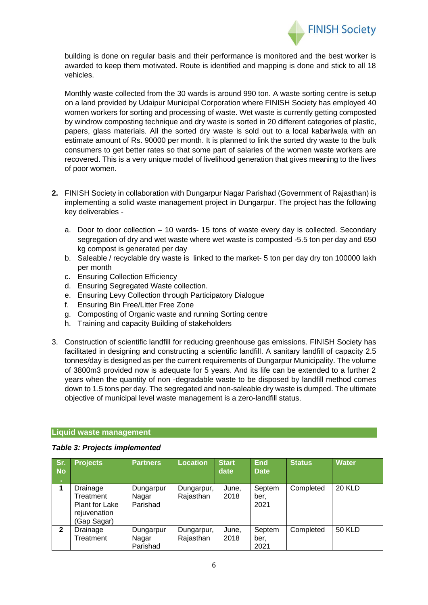

building is done on regular basis and their performance is monitored and the best worker is awarded to keep them motivated. Route is identified and mapping is done and stick to all 18 vehicles.

Monthly waste collected from the 30 wards is around 990 ton. A waste sorting centre is setup on a land provided by Udaipur Municipal Corporation where FINISH Society has employed 40 women workers for sorting and processing of waste. Wet waste is currently getting composted by windrow composting technique and dry waste is sorted in 20 different categories of plastic, papers, glass materials. All the sorted dry waste is sold out to a local kabariwala with an estimate amount of Rs. 90000 per month. It is planned to link the sorted dry waste to the bulk consumers to get better rates so that some part of salaries of the women waste workers are recovered. This is a very unique model of livelihood generation that gives meaning to the lives of poor women.

- **2.** FINISH Society in collaboration with Dungarpur Nagar Parishad (Government of Rajasthan) is implementing a solid waste management project in Dungarpur. The project has the following key deliverables
	- a. Door to door collection 10 wards- 15 tons of waste every day is collected. Secondary segregation of dry and wet waste where wet waste is composted -5.5 ton per day and 650 kg compost is generated per day
	- b. Saleable / recyclable dry waste is linked to the market- 5 ton per day dry ton 100000 lakh per month
	- c. Ensuring Collection Efficiency
	- d. Ensuring Segregated Waste collection.
	- e. Ensuring Levy Collection through Participatory Dialogue
	- f. Ensuring Bin Free/Litter Free Zone
	- g. Composting of Organic waste and running Sorting centre
	- h. Training and capacity Building of stakeholders
- 3. Construction of scientific landfill for reducing greenhouse gas emissions. FINISH Society has facilitated in designing and constructing a scientific landfill. A sanitary landfill of capacity 2.5 tonnes/day is designed as per the current requirements of Dungarpur Municipality. The volume of 3800m3 provided now is adequate for 5 years. And its life can be extended to a further 2 years when the quantity of non -degradable waste to be disposed by landfill method comes down to 1.5 tons per day. The segregated and non-saleable dry waste is dumped. The ultimate objective of municipal level waste management is a zero-landfill status.

## **Liquid waste management**

#### *Table 3: Projects implemented*

| Sr.<br><b>No</b>   | <b>Projects</b>                                                               | <b>Partners</b>                | <b>Location</b>         | <b>Start</b><br>date | <b>End</b><br><b>Date</b> | <b>Status</b> | <b>Water</b>  |
|--------------------|-------------------------------------------------------------------------------|--------------------------------|-------------------------|----------------------|---------------------------|---------------|---------------|
| $\mathcal{A}$<br>4 | Drainage<br>Treatment<br><b>Plant for Lake</b><br>rejuvenation<br>(Gap Sagar) | Dungarpur<br>Nagar<br>Parishad | Dungarpur,<br>Rajasthan | June,<br>2018        | Septem<br>ber,<br>2021    | Completed     | <b>20 KLD</b> |
| $\mathbf{2}$       | Drainage<br>Treatment                                                         | Dungarpur<br>Nagar<br>Parishad | Dungarpur,<br>Rajasthan | June,<br>2018        | Septem<br>ber,<br>2021    | Completed     | <b>50 KLD</b> |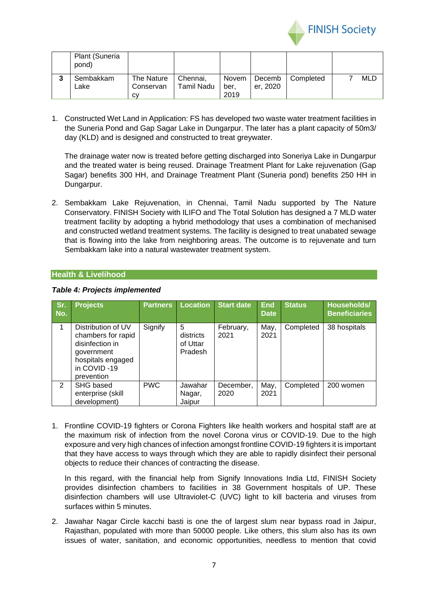

| Plant (Suneria<br>pond) |                               |                               |                      |                    |           |     |
|-------------------------|-------------------------------|-------------------------------|----------------------|--------------------|-----------|-----|
| Sembakkam<br>Lake       | The Nature<br>Conservan<br>СV | Chennai.<br><b>Tamil Nadu</b> | Novem<br>ber<br>2019 | Decemb<br>er. 2020 | Completed | MLD |

1. Constructed Wet Land in Application: FS has developed two waste water treatment facilities in the Suneria Pond and Gap Sagar Lake in Dungarpur. The later has a plant capacity of 50m3/ day (KLD) and is designed and constructed to treat greywater.

The drainage water now is treated before getting discharged into Soneriya Lake in Dungarpur and the treated water is being reused. Drainage Treatment Plant for Lake rejuvenation (Gap Sagar) benefits 300 HH, and Drainage Treatment Plant (Suneria pond) benefits 250 HH in Dungarpur.

2. Sembakkam Lake Rejuvenation, in Chennai, Tamil Nadu supported by The Nature Conservatory. FINISH Society with ILIFO and The Total Solution has designed a 7 MLD water treatment facility by adopting a hybrid methodology that uses a combination of mechanised and constructed wetland treatment systems. The facility is designed to treat unabated sewage that is flowing into the lake from neighboring areas. The outcome is to rejuvenate and turn Sembakkam lake into a natural wastewater treatment system.

## **Health & Livelihood**

| Sr.<br>No. | <b>Projects</b>                                                                                                             | <b>Partners</b> | <b>Location</b>                       | <b>Start date</b> | <b>End</b><br><b>Date</b> | <b>Status</b> | Households/<br><b>Beneficiaries</b> |
|------------|-----------------------------------------------------------------------------------------------------------------------------|-----------------|---------------------------------------|-------------------|---------------------------|---------------|-------------------------------------|
|            | Distribution of UV<br>chambers for rapid<br>disinfection in<br>government<br>hospitals engaged<br>in COVID-19<br>prevention | Signify         | 5<br>districts<br>of Uttar<br>Pradesh | February,<br>2021 | May,<br>2021              | Completed     | 38 hospitals                        |
| 2          | SHG based<br>enterprise (skill<br>development)                                                                              | <b>PWC</b>      | Jawahar<br>Nagar,<br>Jaipur           | December,<br>2020 | May,<br>2021              | Completed     | 200 women                           |

#### *Table 4: Projects implemented*

1. Frontline COVID-19 fighters or Corona Fighters like health workers and hospital staff are at the maximum risk of infection from the novel Corona virus or COVID-19. Due to the high exposure and very high chances of infection amongst frontline COVID-19 fighters it is important that they have access to ways through which they are able to rapidly disinfect their personal objects to reduce their chances of contracting the disease.

In this regard, with the financial help from Signify Innovations India Ltd, FINISH Society provides disinfection chambers to facilities in 38 Government hospitals of UP. These disinfection chambers will use Ultraviolet-C (UVC) light to kill bacteria and viruses from surfaces within 5 minutes.

2. Jawahar Nagar Circle kacchi basti is one the of largest slum near bypass road in Jaipur, Rajasthan, populated with more than 50000 people. Like others, this slum also has its own issues of water, sanitation, and economic opportunities, needless to mention that covid